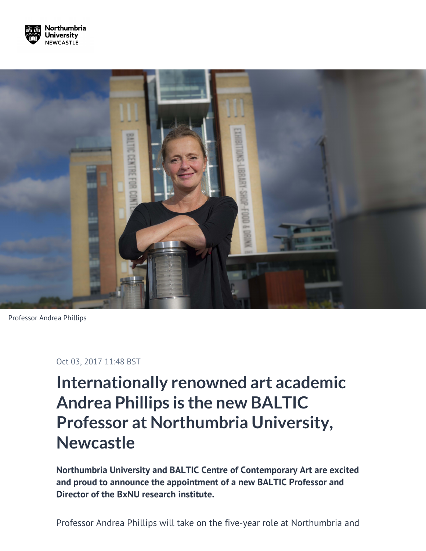



Professor Andrea Phillips

Oct 03, 2017 11:48 BST

## **Internationally renowned art academic Andrea Phillips is the new BALTIC Professor at Northumbria University, Newcastle**

**Northumbria University and BALTIC Centre of Contemporary Art are excited and proud to announce the appointment of a new BALTIC Professor and Director of the BxNU research institute.**

Professor Andrea Phillips will take on the five-year role at Northumbria and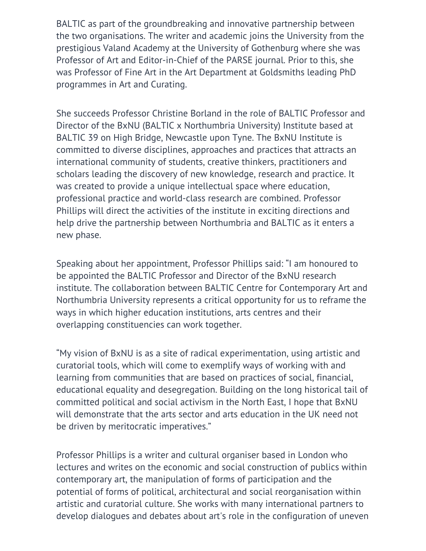BALTIC as part of the groundbreaking and innovative partnership between the two organisations. The writer and academic joins the University from the prestigious Valand Academy at the University of Gothenburg where she was Professor of Art and Editor-in-Chief of the PARSE journal. Prior to this, she was Professor of Fine Art in the Art Department at Goldsmiths leading PhD programmes in Art and Curating.

She succeeds Professor Christine Borland in the role of BALTIC Professor and Director of the BxNU (BALTIC x Northumbria University) Institute based at BALTIC 39 on High Bridge, Newcastle upon Tyne. The BxNU Institute is committed to diverse disciplines, approaches and practices that attracts an international community of students, creative thinkers, practitioners and scholars leading the discovery of new knowledge, research and practice. It was created to provide a unique intellectual space where education, professional practice and world-class research are combined. Professor Phillips will direct the activities of the institute in exciting directions and help drive the partnership between Northumbria and BALTIC as it enters a new phase.

Speaking about her appointment, Professor Phillips said: "I am honoured to be appointed the BALTIC Professor and Director of the BxNU research institute. The collaboration between BALTIC Centre for Contemporary Art and Northumbria University represents a critical opportunity for us to reframe the ways in which higher education institutions, arts centres and their overlapping constituencies can work together.

"My vision of BxNU is as a site of radical experimentation, using artistic and curatorial tools, which will come to exemplify ways of working with and learning from communities that are based on practices of social, financial, educational equality and desegregation. Building on the long historical tail of committed political and social activism in the North East, I hope that BxNU will demonstrate that the arts sector and arts education in the UK need not be driven by meritocratic imperatives."

Professor Phillips is a writer and cultural organiser based in London who lectures and writes on the economic and social construction of publics within contemporary art, the manipulation of forms of participation and the potential of forms of political, architectural and social reorganisation within artistic and curatorial culture. She works with many international partners to develop dialogues and debates about art's role in the configuration of uneven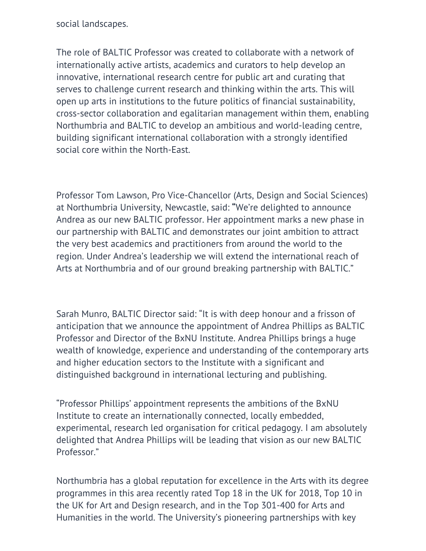social landscapes.

The role of BALTIC Professor was created to collaborate with a network of internationally active artists, academics and curators to help develop an innovative, international research centre for public art and curating that serves to challenge current research and thinking within the arts. This will open up arts in institutions to the future politics of financial sustainability, cross-sector collaboration and egalitarian management within them, enabling Northumbria and BALTIC to develop an ambitious and world-leading centre, building significant international collaboration with a strongly identified social core within the North-East.

Professor Tom Lawson, Pro Vice-Chancellor (Arts, Design and Social Sciences) at Northumbria University, Newcastle, said: **"**We're delighted to announce Andrea as our new BALTIC professor. Her appointment marks a new phase in our partnership with BALTIC and demonstrates our joint ambition to attract the very best academics and practitioners from around the world to the region. Under Andrea's leadership we will extend the international reach of Arts at Northumbria and of our ground breaking partnership with BALTIC."

Sarah Munro, BALTIC Director said: "It is with deep honour and a frisson of anticipation that we announce the appointment of Andrea Phillips as BALTIC Professor and Director of the BxNU Institute. Andrea Phillips brings a huge wealth of knowledge, experience and understanding of the contemporary arts and higher education sectors to the Institute with a significant and distinguished background in international lecturing and publishing.

"Professor Phillips' appointment represents the ambitions of the BxNU Institute to create an internationally connected, locally embedded, experimental, research led organisation for critical pedagogy. I am absolutely delighted that Andrea Phillips will be leading that vision as our new BALTIC Professor."

Northumbria has a global reputation for excellence in the Arts with its degree programmes in this area recently rated Top 18 in the UK for 2018, Top 10 in the UK for Art and Design research, and in the Top 301-400 for Arts and Humanities in the world. The University's pioneering partnerships with key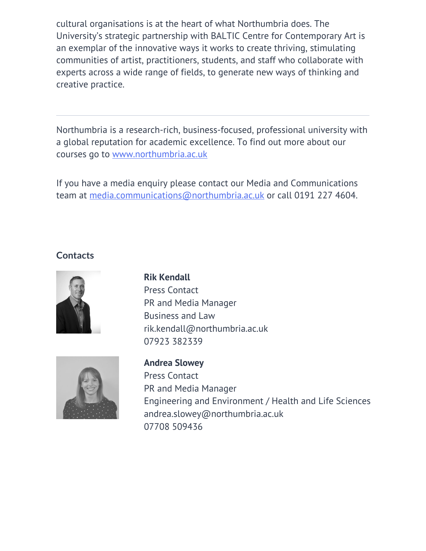cultural organisations is at the heart of what Northumbria does. The University's strategic partnership with BALTIC Centre for Contemporary Art is an exemplar of the innovative ways it works to create thriving, stimulating communities of artist, practitioners, students, and staff who collaborate with experts across a wide range of fields, to generate new ways of thinking and creative practice.

Northumbria is a research-rich, business-focused, professional university with a global reputation for academic excellence. To find out more about our courses go to [www.northumbria.ac.uk](http://www.northumbria.ac.uk/)

If you have a media enquiry please contact our Media and Communications team at [media.communications@northumbria.ac.uk](mailto:media.communications@northumbria.ac.uk) or call 0191 227 4604.

## **Contacts**







**Andrea Slowey** Press Contact PR and Media Manager Engineering and Environment / Health and Life Sciences [andrea.slowey@northumbria.ac.uk](mailto:andrea.slowey@northumbria.ac.uk) [07708 509436](tel:07708 509436)